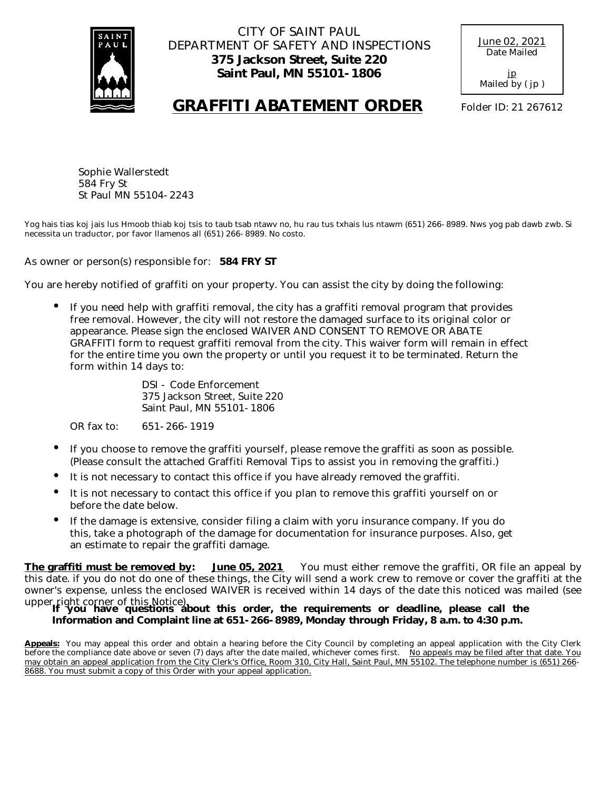

CITY OF SAINT PAUL DEPARTMENT OF SAFETY AND INSPECTIONS **375 Jackson Street, Suite 220 Saint Paul, MN 55101-1806**

| June 02, 2021<br>Date Mailed |  |
|------------------------------|--|
| jp<br>Mailed by (jp)         |  |

## GRAFFITI ABATEMENT ORDER Folder ID: 21 267612

Sophie Wallerstedt 584 Fry St St Paul MN 55104-2243

Yog hais tias koj jais lus Hmoob thiab koj tsis to taub tsab ntawv no, hu rau tus txhais lus ntawm (651) 266-8989. Nws yog pab dawb zwb. Si necessita un traductor, por favor llamenos all (651) 266-8989. No costo.

As owner or person(s) responsible for: **584 FRY ST** 

You are hereby notified of graffiti on your property. You can assist the city by doing the following:

• If you need help with graffiti removal, the city has a graffiti removal program that provides free removal. However, the city will not restore the damaged surface to its original color or appearance. Please sign the enclosed WAIVER AND CONSENT TO REMOVE OR ABATE GRAFFITI form to request graffiti removal from the city. This waiver form will remain in effect for the entire time you own the property or until you request it to be terminated. Return the form within 14 days to:

> DSI - Code Enforcement 375 Jackson Street, Suite 220 Saint Paul, MN 55101-1806

OR fax to: 651-266-1919

- If you choose to remove the graffiti yourself, please remove the graffiti as soon as possible. (Please consult the attached Graffiti Removal Tips to assist you in removing the graffiti.)
- It is not necessary to contact this office if you have already removed the graffiti.
- It is not necessary to contact this office if you plan to remove this graffiti yourself on or before the date below.
- If the damage is extensive, consider filing a claim with yoru insurance company. If you do this, take a photograph of the damage for documentation for insurance purposes. Also, get an estimate to repair the graffiti damage.

**The graffiti must be removed by: June 05, 2021** You must either remove the graffiti, OR file an appeal by this date. if you do not do one of these things, the City will send a work crew to remove or cover the graffiti at the owner's expense, unless the enclosed WAIVER is received within 14 days of the date this noticed was mailed (see upper right corner of this Notice). **If you have questions about this order, the requirements or deadline, please call the** 

**Information and Complaint line at 651-266-8989, Monday through Friday, 8 a.m. to 4:30 p.m.**

**Appeals:** You may appeal this order and obtain a hearing before the City Council by completing an appeal application with the City Clerk before the compliance date above or seven (7) days after the date mailed, whichever comes first. No appeals may be filed after that date. You may obtain an appeal application from the City Clerk's Office, Room 310, City Hall, Saint Paul, MN 55102. The telephone number is (651) 266- 8688. You must submit a copy of this Order with your appeal application.